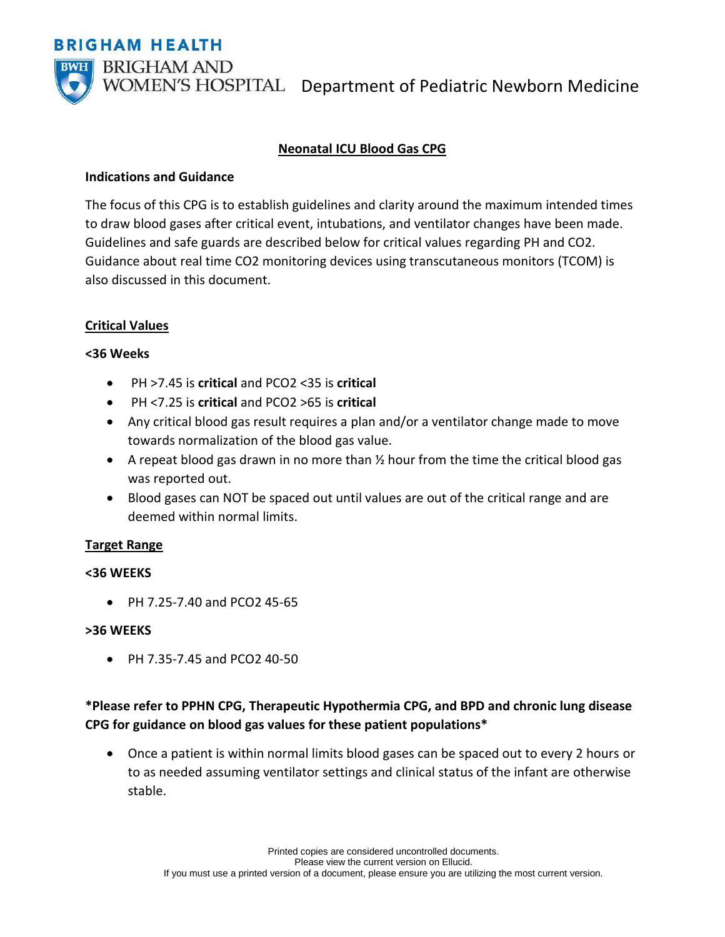**BRIGHAM HEALTH** 



WOMEN'S HOSPITAL Department of Pediatric Newborn Medicine

# **Neonatal ICU Blood Gas CPG**

### **Indications and Guidance**

The focus of this CPG is to establish guidelines and clarity around the maximum intended times to draw blood gases after critical event, intubations, and ventilator changes have been made. Guidelines and safe guards are described below for critical values regarding PH and CO2. Guidance about real time CO2 monitoring devices using transcutaneous monitors (TCOM) is also discussed in this document.

## **Critical Values**

## **<36 Weeks**

- PH >7.45 is **critical** and PCO2 <35 is **critical**
- PH <7.25 is **critical** and PCO2 >65 is **critical**
- Any critical blood gas result requires a plan and/or a ventilator change made to move towards normalization of the blood gas value.
- A repeat blood gas drawn in no more than  $\frac{1}{2}$  hour from the time the critical blood gas was reported out.
- Blood gases can NOT be spaced out until values are out of the critical range and are deemed within normal limits.

#### **Target Range**

## **<36 WEEKS**

• PH 7.25-7.40 and PCO2 45-65

#### **>36 WEEKS**

• PH 7.35-7.45 and PCO2 40-50

# **\*Please refer to PPHN CPG, Therapeutic Hypothermia CPG, and BPD and chronic lung disease CPG for guidance on blood gas values for these patient populations\***

• Once a patient is within normal limits blood gases can be spaced out to every 2 hours or to as needed assuming ventilator settings and clinical status of the infant are otherwise stable.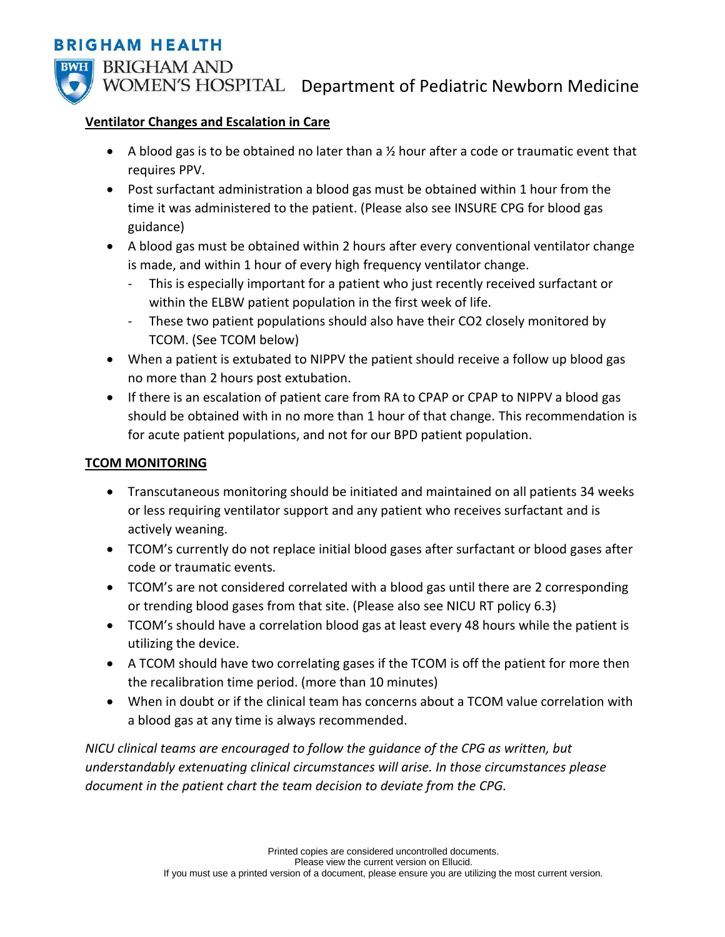# **BRIGHAM HEALTH**



WOMEN'S HOSPITAL Department of Pediatric Newborn Medicine

## **Ventilator Changes and Escalation in Care**

- A blood gas is to be obtained no later than a  $\frac{1}{2}$  hour after a code or traumatic event that requires PPV.
- Post surfactant administration a blood gas must be obtained within 1 hour from the time it was administered to the patient. (Please also see INSURE CPG for blood gas guidance)
- A blood gas must be obtained within 2 hours after every conventional ventilator change is made, and within 1 hour of every high frequency ventilator change.
	- This is especially important for a patient who just recently received surfactant or within the ELBW patient population in the first week of life.
	- These two patient populations should also have their CO2 closely monitored by TCOM. (See TCOM below)
- When a patient is extubated to NIPPV the patient should receive a follow up blood gas no more than 2 hours post extubation.
- If there is an escalation of patient care from RA to CPAP or CPAP to NIPPV a blood gas should be obtained with in no more than 1 hour of that change. This recommendation is for acute patient populations, and not for our BPD patient population.

## **TCOM MONITORING**

- Transcutaneous monitoring should be initiated and maintained on all patients 34 weeks or less requiring ventilator support and any patient who receives surfactant and is actively weaning.
- TCOM's currently do not replace initial blood gases after surfactant or blood gases after code or traumatic events.
- TCOM's are not considered correlated with a blood gas until there are 2 corresponding or trending blood gases from that site. (Please also see NICU RT policy 6.3)
- TCOM's should have a correlation blood gas at least every 48 hours while the patient is utilizing the device.
- A TCOM should have two correlating gases if the TCOM is off the patient for more then the recalibration time period. (more than 10 minutes)
- When in doubt or if the clinical team has concerns about a TCOM value correlation with a blood gas at any time is always recommended.

*NICU clinical teams are encouraged to follow the guidance of the CPG as written, but understandably extenuating clinical circumstances will arise. In those circumstances please document in the patient chart the team decision to deviate from the CPG.*